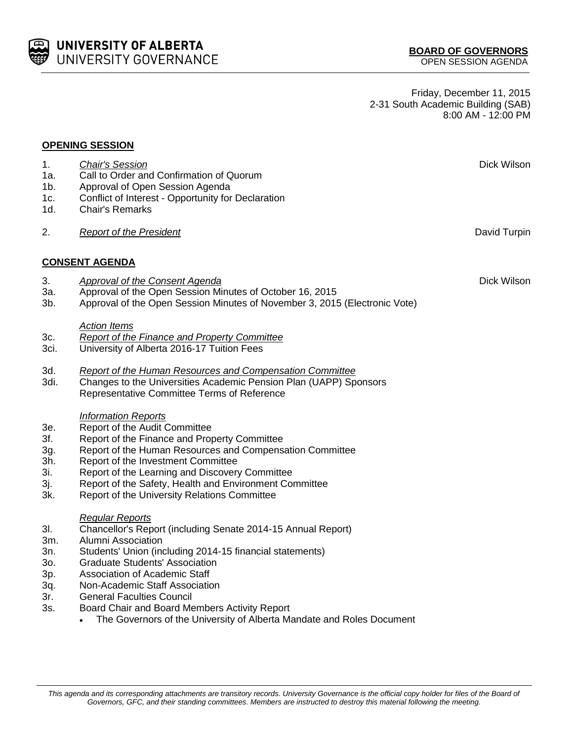## UNIVERSITY OF ALBERTA UNIVERSITY GOVERNANCE

Friday, December 11, 2015 2-31 South Academic Building (SAB) 8:00 AM - 12:00 PM

## **OPENING SESSION**

1d. Chair's Remarks

1a. Call to Order and Confirmation of Quorum

1c. Conflict of Interest - Opportunity for Declaration

1b. Approval of Open Session Agenda

- 2. *Report of the President* David Turpin **CONSENT AGENDA** 3. *Approval of the Consent Agenda* Dick Wilson 3a. Approval of the Open Session Minutes of October 16, 2015 3b. Approval of the Open Session Minutes of November 3, 2015 (Electronic Vote) *Action Items* 3c. *Report of the Finance and Property Committee* 3ci. University of Alberta 2016-17 Tuition Fees 3d. *Report of the Human Resources and Compensation Committee* 3di. Changes to the Universities Academic Pension Plan (UAPP) Sponsors Representative Committee Terms of Reference *Information Reports* 3e. Report of the Audit Committee
	- 3f. Report of the Finance and Property Committee
	- 3g. Report of the Human Resources and Compensation Committee
	- 3h. Report of the Investment Committee
	- 3i. Report of the Learning and Discovery Committee
	- 3j. Report of the Safety, Health and Environment Committee<br>3k. Report of the University Relations Committee
	- Report of the University Relations Committee

## *Regular Reports*

- 3l. Chancellor's Report (including Senate 2014-15 Annual Report)
- 3m. Alumni Association
- 3n. Students' Union (including 2014-15 financial statements)
- 3o. Graduate Students' Association
- 3p. Association of Academic Staff
- 3q. Non-Academic Staff Association
- 3r. General Faculties Council
- 3s. Board Chair and Board Members Activity Report
	- The Governors of the University of Alberta Mandate and Roles Document

1. *Chair's Session* Dick Wilson